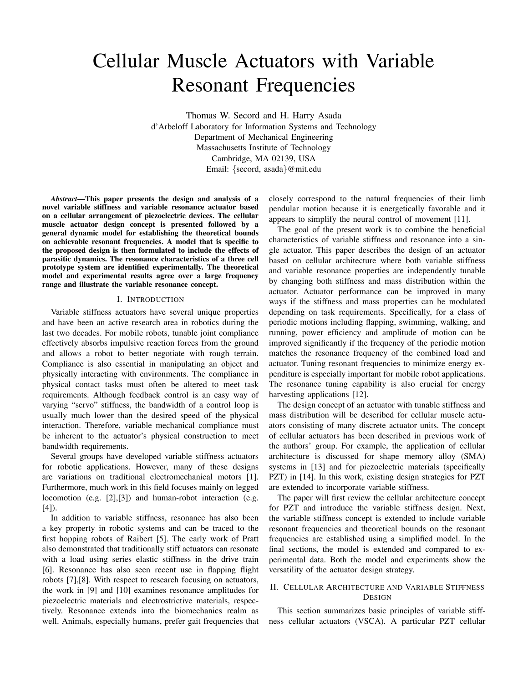# Cellular Muscle Actuators with Variable Resonant Frequencies

Thomas W. Secord and H. Harry Asada d'Arbeloff Laboratory for Information Systems and Technology Department of Mechanical Engineering Massachusetts Institute of Technology Cambridge, MA 02139, USA Email: {secord, asada}@mit.edu

*Abstract***—This paper presents the design and analysis of a novel variable stiffness and variable resonance actuator based on a cellular arrangement of piezoelectric devices. The cellular muscle actuator design concept is presented followed by a general dynamic model for establishing the theoretical bounds on achievable resonant frequencies. A model that is specific to the proposed design is then formulated to include the effects of parasitic dynamics. The resonance characteristics of a three cell prototype system are identified experimentally. The theoretical model and experimental results agree over a large frequency range and illustrate the variable resonance concept.**

### I. INTRODUCTION

Variable stiffness actuators have several unique properties and have been an active research area in robotics during the last two decades. For mobile robots, tunable joint compliance effectively absorbs impulsive reaction forces from the ground and allows a robot to better negotiate with rough terrain. Compliance is also essential in manipulating an object and physically interacting with environments. The compliance in physical contact tasks must often be altered to meet task requirements. Although feedback control is an easy way of varying "servo" stiffness, the bandwidth of a control loop is usually much lower than the desired speed of the physical interaction. Therefore, variable mechanical compliance must be inherent to the actuator's physical construction to meet bandwidth requirements.

Several groups have developed variable stiffness actuators for robotic applications. However, many of these designs are variations on traditional electromechanical motors [1]. Furthermore, much work in this field focuses mainly on legged locomotion (e.g. [2],[3]) and human-robot interaction (e.g. [4]).

In addition to variable stiffness, resonance has also been a key property in robotic systems and can be traced to the first hopping robots of Raibert [5]. The early work of Pratt also demonstrated that traditionally stiff actuators can resonate with a load using series elastic stiffness in the drive train [6]. Resonance has also seen recent use in flapping flight robots [7],[8]. With respect to research focusing on actuators, the work in [9] and [10] examines resonance amplitudes for piezoelectric materials and electrostrictive materials, respectively. Resonance extends into the biomechanics realm as well. Animals, especially humans, prefer gait frequencies that closely correspond to the natural frequencies of their limb pendular motion because it is energetically favorable and it appears to simplify the neural control of movement [11].

The goal of the present work is to combine the beneficial characteristics of variable stiffness and resonance into a single actuator. This paper describes the design of an actuator based on cellular architecture where both variable stiffness and variable resonance properties are independently tunable by changing both stiffness and mass distribution within the actuator. Actuator performance can be improved in many ways if the stiffness and mass properties can be modulated depending on task requirements. Specifically, for a class of periodic motions including flapping, swimming, walking, and running, power efficiency and amplitude of motion can be improved significantly if the frequency of the periodic motion matches the resonance frequency of the combined load and actuator. Tuning resonant frequencies to minimize energy expenditure is especially important for mobile robot applications. The resonance tuning capability is also crucial for energy harvesting applications [12].

The design concept of an actuator with tunable stiffness and mass distribution will be described for cellular muscle actuators consisting of many discrete actuator units. The concept of cellular actuators has been described in previous work of the authors' group. For example, the application of cellular architecture is discussed for shape memory alloy (SMA) systems in [13] and for piezoelectric materials (specifically PZT) in [14]. In this work, existing design strategies for PZT are extended to incorporate variable stiffness.

The paper will first review the cellular architecture concept for PZT and introduce the variable stiffness design. Next, the variable stiffness concept is extended to include variable resonant frequencies and theoretical bounds on the resonant frequencies are established using a simplified model. In the final sections, the model is extended and compared to experimental data. Both the model and experiments show the versatility of the actuator design strategy.

# II. CELLULAR ARCHITECTURE AND VARIABLE STIFFNESS DESIGN

This section summarizes basic principles of variable stiffness cellular actuators (VSCA). A particular PZT cellular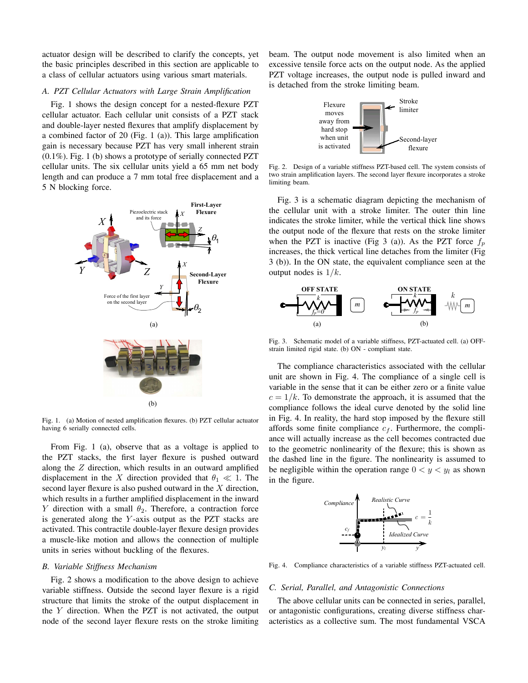actuator design will be described to clarify the concepts, yet the basic principles described in this section are applicable to a class of cellular actuators using various smart materials.

# *A. PZT Cellular Actuators with Large Strain Amplification*

Fig. 1 shows the design concept for a nested-flexure PZT cellular actuator. Each cellular unit consists of a PZT stack and double-layer nested flexures that amplify displacement by a combined factor of 20 (Fig. 1 (a)). This large amplification gain is necessary because PZT has very small inherent strain (0.1%). Fig. 1 (b) shows a prototype of serially connected PZT cellular units. The six cellular units yield a 65 mm net body length and can produce a 7 mm total free displacement and a 5 N blocking force.



Fig. 1. (a) Motion of nested amplification flexures. (b) PZT cellular actuator having 6 serially connected cells.

From Fig. 1 (a), observe that as a voltage is applied to the PZT stacks, the first layer flexure is pushed outward along the Z direction, which results in an outward amplified displacement in the X direction provided that  $\theta_1 \ll 1$ . The second layer flexure is also pushed outward in the X direction second layer flexure is also pushed outward in the X direction, which results in a further amplified displacement in the inward Y direction with a small  $\theta_2$ . Therefore, a contraction force is generated along the  $Y$ -axis output as the PZT stacks are activated. This contractile double-layer flexure design provides a muscle-like motion and allows the connection of multiple units in series without buckling of the flexures.

## *B. Variable Stiffness Mechanism*

Fig. 2 shows a modification to the above design to achieve variable stiffness. Outside the second layer flexure is a rigid structure that limits the stroke of the output displacement in the  $Y$  direction. When the PZT is not activated, the output node of the second layer flexure rests on the stroke limiting beam. The output node movement is also limited when an excessive tensile force acts on the output node. As the applied PZT voltage increases, the output node is pulled inward and is detached from the stroke limiting beam.



Fig. 2. Design of a variable stiffness PZT-based cell. The system consists of two strain amplification layers. The second layer flexure incorporates a stroke limiting beam.

Fig. 3 is a schematic diagram depicting the mechanism of the cellular unit with a stroke limiter. The outer thin line indicates the stroke limiter, while the vertical thick line shows the output node of the flexure that rests on the stroke limiter when the PZT is inactive (Fig 3 (a)). As the PZT force  $f_p$ increases, the thick vertical line detaches from the limiter (Fig 3 (b)). In the ON state, the equivalent compliance seen at the output nodes is  $1/k$ .



Fig. 3. Schematic model of a variable stiffness, PZT-actuated cell. (a) OFFstrain limited rigid state. (b) ON - compliant state.

The compliance characteristics associated with the cellular unit are shown in Fig. 4. The compliance of a single cell is variable in the sense that it can be either zero or a finite value  $c = 1/k$ . To demonstrate the approach, it is assumed that the compliance follows the ideal curve denoted by the solid line in Fig. 4. In reality, the hard stop imposed by the flexure still affords some finite compliance  $c_f$ . Furthermore, the compliance will actually increase as the cell becomes contracted due to the geometric nonlinearity of the flexure; this is shown as the dashed line in the figure. The nonlinearity is assumed to be negligible within the operation range  $0 < y < y_l$  as shown in the figure.



Fig. 4. Compliance characteristics of a variable stiffness PZT-actuated cell.

## *C. Serial, Parallel, and Antagonistic Connections*

The above cellular units can be connected in series, parallel, or antagonistic configurations, creating diverse stiffness characteristics as a collective sum. The most fundamental VSCA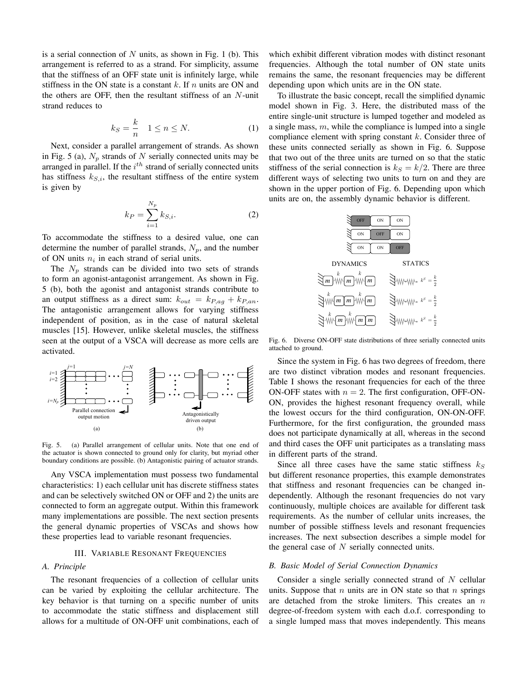is a serial connection of  $N$  units, as shown in Fig. 1 (b). This arrangement is referred to as a strand. For simplicity, assume that the stiffness of an OFF state unit is infinitely large, while stiffness in the ON state is a constant  $k$ . If  $n$  units are ON and the others are OFF, then the resultant stiffness of an  $N$ -unit strand reduces to

$$
k_S = \frac{k}{n} \quad 1 \le n \le N. \tag{1}
$$

Next, consider a parallel arrangement of strands. As shown in Fig. 5 (a),  $N_p$  strands of N serially connected units may be arranged in parallel. If the  $i<sup>th</sup>$  strand of serially connected units has stiffness  $k_{S,i}$ , the resultant stiffness of the entire system is given by

$$
k_P = \sum_{i=1}^{N_p} k_{S,i}.
$$
 (2)

To accommodate the stiffness to a desired value, one can determine the number of parallel strands,  $N_p$ , and the number of ON units  $n_i$  in each strand of serial units.

The  $N_p$  strands can be divided into two sets of strands to form an agonist-antagonist arrangement. As shown in Fig. 5 (b), both the agonist and antagonist strands contribute to an output stiffness as a direct sum:  $k_{out} = k_{P,aq} + k_{P,aq}$ . The antagonistic arrangement allows for varying stiffness independent of position, as in the case of natural skeletal muscles [15]. However, unlike skeletal muscles, the stiffness seen at the output of a VSCA will decrease as more cells are activated.



Fig. 5. (a) Parallel arrangement of cellular units. Note that one end of the actuator is shown connected to ground only for clarity, but myriad other boundary conditions are possible. (b) Antagonistic pairing of actuator strands.

Any VSCA implementation must possess two fundamental characteristics: 1) each cellular unit has discrete stiffness states and can be selectively switched ON or OFF and 2) the units are connected to form an aggregate output. Within this framework many implementations are possible. The next section presents the general dynamic properties of VSCAs and shows how these properties lead to variable resonant frequencies.

## III. VARIABLE RESONANT FREQUENCIES

#### *A. Principle*

The resonant frequencies of a collection of cellular units can be varied by exploiting the cellular architecture. The key behavior is that turning on a specific number of units to accommodate the static stiffness and displacement still allows for a multitude of ON-OFF unit combinations, each of

which exhibit different vibration modes with distinct resonant frequencies. Although the total number of ON state units remains the same, the resonant frequencies may be different depending upon which units are in the ON state.

To illustrate the basic concept, recall the simplified dynamic model shown in Fig. 3. Here, the distributed mass of the entire single-unit structure is lumped together and modeled as a single mass,  $m$ , while the compliance is lumped into a single compliance element with spring constant k. Consider three of these units connected serially as shown in Fig. 6. Suppose that two out of the three units are turned on so that the static stiffness of the serial connection is  $k<sub>S</sub> = k/2$ . There are three different ways of selecting two units to turn on and they are shown in the upper portion of Fig. 6. Depending upon which units are on, the assembly dynamic behavior is different.



Fig. 6. Diverse ON-OFF state distributions of three serially connected units attached to ground.

Since the system in Fig. 6 has two degrees of freedom, there are two distinct vibration modes and resonant frequencies. Table I shows the resonant frequencies for each of the three ON-OFF states with  $n = 2$ . The first configuration, OFF-ON-ON, provides the highest resonant frequency overall, while the lowest occurs for the third configuration, ON-ON-OFF. Furthermore, for the first configuration, the grounded mass does not participate dynamically at all, whereas in the second and third cases the OFF unit participates as a translating mass in different parts of the strand.

Since all three cases have the same static stiffness  $k<sub>S</sub>$ but different resonance properties, this example demonstrates that stiffness and resonant frequencies can be changed independently. Although the resonant frequencies do not vary continuously, multiple choices are available for different task requirements. As the number of cellular units increases, the number of possible stiffness levels and resonant frequencies increases. The next subsection describes a simple model for the general case of  $N$  serially connected units.

#### *B. Basic Model of Serial Connection Dynamics*

Consider a single serially connected strand of N cellular units. Suppose that  $n$  units are in ON state so that  $n$  springs are detached from the stroke limiters. This creates an  $n$ degree-of-freedom system with each d.o.f. corresponding to a single lumped mass that moves independently. This means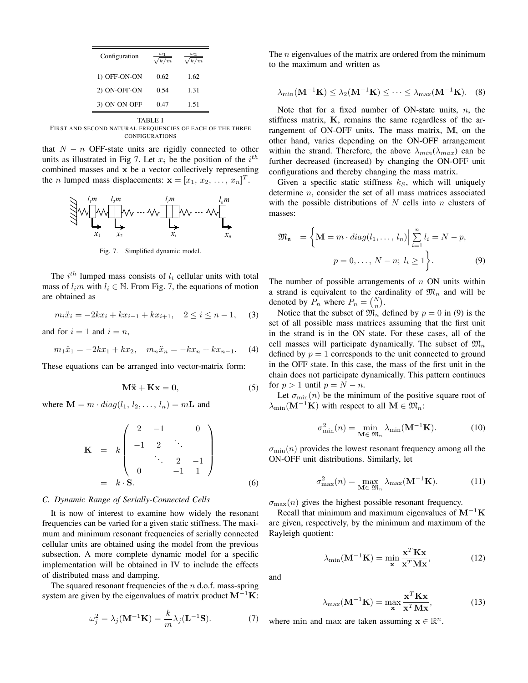| $\frac{1}{\sqrt{k/m}}$ |      |
|------------------------|------|
| 0.62                   | 1.62 |
| 0.54                   | 1.31 |
| 0.47                   | 1.51 |
|                        |      |

TABLE I FIRST AND SECOND NATURAL FREQUENCIES OF EACH OF THE THREE CONFIGURATIONS

that  $N - n$  OFF-state units are rigidly connected to other units as illustrated in Fig 7. Let  $x_i$  be the position of the  $i^{th}$ combined masses and **x** be a vector collectively representing the *n* lumped mass displacements:  $\mathbf{x} = [x_1, x_2, \dots, x_n]^T$ .



Fig. 7. Simplified dynamic model.

The *i*<sup>th</sup> lumped mass consists of  $l_i$  cellular units with total  $l_i \in \mathbb{N}$ . From Eig. 7, the equations of motion mass of  $l_i m$  with  $l_i \in \mathbb{N}$ . From Fig. 7, the equations of motion are obtained as

$$
m_i \ddot{x}_i = -2kx_i + kx_{i-1} + kx_{i+1}, \quad 2 \le i \le n-1, \quad (3)
$$

and for  $i = 1$  and  $i = n$ ,

$$
m_1\ddot{x}_1 = -2kx_1 + kx_2, \quad m_n\ddot{x}_n = -kx_n + kx_{n-1}.
$$
 (4)

These equations can be arranged into vector-matrix form:

$$
M\ddot{x} + Kx = 0, \qquad (5)
$$

where  $\mathbf{M} = m \cdot diag(l_1, l_2, \dots, l_n) = m\mathbf{L}$  and

$$
\mathbf{K} = k \begin{pmatrix} 2 & -1 & 0 \\ -1 & 2 & \ddots \\ \vdots & \ddots & 2 & -1 \\ 0 & -1 & 1 \end{pmatrix}
$$
  
= k · **S**. (6)

#### *C. Dynamic Range of Serially-Connected Cells*

It is now of interest to examine how widely the resonant frequencies can be varied for a given static stiffness. The maximum and minimum resonant frequencies of serially connected cellular units are obtained using the model from the previous subsection. A more complete dynamic model for a specific implementation will be obtained in IV to include the effects of distributed mass and damping.

The squared resonant frequencies of the  $n$  d.o.f. mass-spring system are given by the eigenvalues of matrix product **M**−<sup>1</sup>**K**:

$$
\omega_j^2 = \lambda_j(\mathbf{M}^{-1}\mathbf{K}) = \frac{k}{m}\lambda_j(\mathbf{L}^{-1}\mathbf{S}).
$$
 (7)

The *n* eigenvalues of the matrix are ordered from the minimum to the maximum and written as

$$
\lambda_{\min}(\mathbf{M}^{-1}\mathbf{K}) \leq \lambda_2(\mathbf{M}^{-1}\mathbf{K}) \leq \cdots \leq \lambda_{\max}(\mathbf{M}^{-1}\mathbf{K}).
$$
 (8)

Note that for a fixed number of ON-state units,  $n$ , the stiffness matrix, **K**, remains the same regardless of the arrangement of ON-OFF units. The mass matrix, **M**, on the other hand, varies depending on the ON-OFF arrangement within the strand. Therefore, the above  $\lambda_{min}(\lambda_{max})$  can be further decreased (increased) by changing the ON-OFF unit configurations and thereby changing the mass matrix.

Given a specific static stiffness  $k<sub>S</sub>$ , which will uniquely determine n, consider the set of all mass matrices associated with the possible distributions of  $N$  cells into  $n$  clusters of masses:

$$
\mathfrak{M}_{n} = \left\{ \mathbf{M} = m \cdot diag(l_1, \dots, l_n) \Big| \sum_{i=1}^{n} l_i = N - p, \right. \newline p = 0, \dots, N - n; \ l_i \ge 1 \right\}.
$$
 (9)

The number of possible arrangements of  $n$  ON units within a strand is equivalent to the cardinality of  $\mathfrak{M}_n$  and will be denoted by  $P_n$  where  $P_n = \binom{N}{n}$ .<br>Notice that the subset of  $\mathfrak{M}$ 

Notice that the subset of  $\mathfrak{M}_n$  defined by  $p = 0$  in (9) is the first unit set of all possible mass matrices assuming that the first unit in the strand is in the ON state. For these cases, all of the cell masses will participate dynamically. The subset of  $\mathfrak{M}_n$ defined by  $p = 1$  corresponds to the unit connected to ground in the OFF state. In this case, the mass of the first unit in the chain does not participate dynamically. This pattern continues for  $p > 1$  until  $p = N - n$ .

Let  $\sigma_{\min}(n)$  be the minimum of the positive square root of  $\lambda_{\min}(\mathbf{M}^{-1}\mathbf{K})$  with respect to all  $\mathbf{M} \in \mathfrak{M}_n$ :

$$
\sigma_{\min}^2(n) = \min_{\mathbf{M} \in \mathfrak{M}_n} \lambda_{\min}(\mathbf{M}^{-1}\mathbf{K}).
$$
 (10)

 $\sigma_{\min}(n)$  provides the lowest resonant frequency among all the ON-OFF unit distributions. Similarly, let

$$
\sigma_{\max}^2(n) = \max_{\mathbf{M} \in \mathfrak{M}_n} \lambda_{\max}(\mathbf{M}^{-1}\mathbf{K}).
$$
 (11)

 $\sigma_{\text{max}}(n)$  gives the highest possible resonant frequency.

Recall that minimum and maximum eigenvalues of **M**−<sup>1</sup>**K** are given, respectively, by the minimum and maximum of the Rayleigh quotient:

$$
\lambda_{\min}(\mathbf{M}^{-1}\mathbf{K}) = \min_{\mathbf{x}} \frac{\mathbf{x}^T \mathbf{K} \mathbf{x}}{\mathbf{x}^T \mathbf{M} \mathbf{x}},
$$
(12)

and

$$
\lambda_{\max}(\mathbf{M}^{-1}\mathbf{K}) = \max_{\mathbf{x}} \frac{\mathbf{x}^T \mathbf{K} \mathbf{x}}{\mathbf{x}^T \mathbf{M} \mathbf{x}},
$$
(13)

where min and max are taken assuming  $\mathbf{x} \in \mathbb{R}^n$ .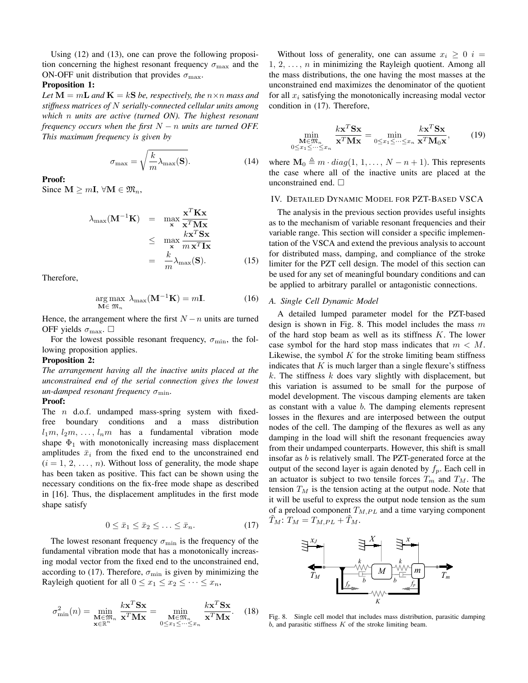Using (12) and (13), one can prove the following proposition concerning the highest resonant frequency  $\sigma_{\text{max}}$  and the ON-OFF unit distribution that provides  $\sigma_{\text{max}}$ .

## **Proposition 1:**

*Let*  $M = mL$  *and*  $K = kS$  *be, respectively, the*  $n \times n$  *mass and stiffness matrices of* N *serially-connected cellular units among which* n *units are active (turned ON). The highest resonant frequency occurs when the first*  $N - n$  *units are turned OFF. This maximum frequency is given by*

$$
\sigma_{\text{max}} = \sqrt{\frac{k}{m} \lambda_{\text{max}}(\mathbf{S})}.
$$
 (14)

## **Proof:**

Since  $\mathbf{M} \geq m\mathbf{I}$ ,  $\forall \mathbf{M} \in \mathfrak{M}_n$ ,

$$
\lambda_{\max}(\mathbf{M}^{-1}\mathbf{K}) = \max_{\mathbf{x}} \frac{\mathbf{x}^T \mathbf{K} \mathbf{x}}{\mathbf{x}^T \mathbf{M} \mathbf{x}} \le \max_{\mathbf{x}} \frac{k \mathbf{x}^T \mathbf{S} \mathbf{x}}{m \mathbf{x}^T \mathbf{I} \mathbf{x}} = \frac{k}{m} \lambda_{\max}(\mathbf{S}).
$$
 (15)

Therefore,

$$
\underset{\mathbf{M}\in\mathfrak{M}_n}{\arg\max} \ \lambda_{\max}(\mathbf{M}^{-1}\mathbf{K}) = m\mathbf{I}.\tag{16}
$$

Hence, the arrangement where the first  $N - n$  units are turned OFF yields  $\sigma_{\text{max}}$ .  $\Box$ 

For the lowest possible resonant frequency,  $\sigma_{\min}$ , the following proposition applies.

## **Proposition 2:**

*The arrangement having all the inactive units placed at the unconstrained end of the serial connection gives the lowest*  $un$ -damped resonant frequency  $\sigma_{\min}$ .

#### **Proof:**

The  $n$  d.o.f. undamped mass-spring system with fixedfree boundary conditions and a mass distribution  $l_1m, l_2m, \ldots, l_nm$  has a fundamental vibration mode shape  $\Phi_1$  with monotonically increasing mass displacement amplitudes  $\bar{x}_i$  from the fixed end to the unconstrained end  $(i = 1, 2, \ldots, n)$ . Without loss of generality, the mode shape has been taken as positive. This fact can be shown using the necessary conditions on the fix-free mode shape as described in [16]. Thus, the displacement amplitudes in the first mode shape satisfy

$$
0 \le \bar{x}_1 \le \bar{x}_2 \le \ldots \le \bar{x}_n. \tag{17}
$$

The lowest resonant frequency  $\sigma_{\min}$  is the frequency of the fundamental vibration mode that has a monotonically increasing modal vector from the fixed end to the unconstrained end, according to (17). Therefore,  $\sigma_{\min}$  is given by minimizing the Rayleigh quotient for all  $0 \le x_1 \le x_2 \le \cdots \le x_n$ ,

$$
\sigma_{\min}^2(n) = \min_{\substack{\mathbf{M} \in \mathfrak{M}_n \\ \mathbf{x} \in \mathbb{R}^n}} \frac{k \mathbf{x}^T \mathbf{S} \mathbf{x}}{\mathbf{x}^T \mathbf{M} \mathbf{x}} = \min_{\substack{\mathbf{M} \in \mathfrak{M}_n \\ 0 \le x_1 \le \dots \le x_n}} \frac{k \mathbf{x}^T \mathbf{S} \mathbf{x}}{\mathbf{x}^T \mathbf{M} \mathbf{x}}.
$$
 (18)

Without loss of generality, one can assume  $x_i \geq 0$  i =  $1, 2, \ldots, n$  in minimizing the Rayleigh quotient. Among all the mass distributions, the one having the most masses at the unconstrained end maximizes the denominator of the quotient for all  $x_i$  satisfying the monotonically increasing modal vector condition in (17). Therefore,

$$
\min_{\substack{\mathbf{M}\in\mathfrak{M}_n\\\mathbf{0}\leq x_1\leq\cdots\leq x_n}}\frac{k\mathbf{x}^T\mathbf{S}\mathbf{x}}{\mathbf{x}^T\mathbf{M}\mathbf{x}}=\min_{0\leq x_1\leq\cdots\leq x_n}\frac{k\mathbf{x}^T\mathbf{S}\mathbf{x}}{\mathbf{x}^T\mathbf{M}_0\mathbf{x}},\qquad(19)
$$

where  $\mathbf{M}_0 \triangleq m \cdot diag(1, 1, \ldots, N - n + 1)$ . This represents the case where all of the inactive units are placed at the unconstrained end.  $\Box$ 

# IV. DETAILED DYNAMIC MODEL FOR PZT-BASED VSCA

The analysis in the previous section provides useful insights as to the mechanism of variable resonant frequencies and their variable range. This section will consider a specific implementation of the VSCA and extend the previous analysis to account for distributed mass, damping, and compliance of the stroke limiter for the PZT cell design. The model of this section can be used for any set of meaningful boundary conditions and can be applied to arbitrary parallel or antagonistic connections.

# *A. Single Cell Dynamic Model*

A detailed lumped parameter model for the PZT-based design is shown in Fig. 8. This model includes the mass  $m$ of the hard stop beam as well as its stiffness  $K$ . The lower case symbol for the hard stop mass indicates that  $m < M$ . Likewise, the symbol  $K$  for the stroke limiting beam stiffness indicates that  $K$  is much larger than a single flexure's stiffness  $k$ . The stiffness  $k$  does vary slightly with displacement, but this variation is assumed to be small for the purpose of model development. The viscous damping elements are taken as constant with a value  $b$ . The damping elements represent losses in the flexures and are interposed between the output nodes of the cell. The damping of the flexures as well as any damping in the load will shift the resonant frequencies away from their undamped counterparts. However, this shift is small insofar as  $b$  is relatively small. The PZT-generated force at the output of the second layer is again denoted by  $f_p$ . Each cell in an actuator is subject to two tensile forces  $T_m$  and  $T_M$ . The tension  $T_M$  is the tension acting at the output node. Note that it will be useful to express the output node tension as the sum of a preload component  $T_{M,PL}$  and a time varying component  $T_M: T_M = T_{M,PL} + T_M.$ 



Fig. 8. Single cell model that includes mass distribution, parasitic damping *b*, and parasitic stiffness *K* of the stroke limiting beam.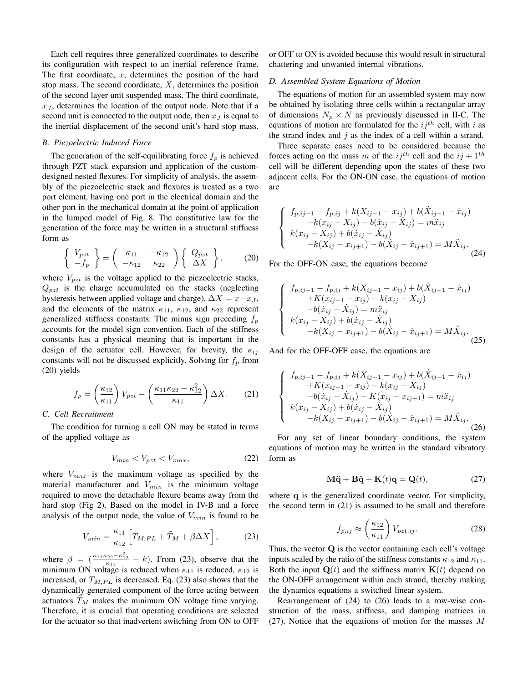Each cell requires three generalized coordinates to describe its configuration with respect to an inertial reference frame. The first coordinate,  $x$ , determines the position of the hard stop mass. The second coordinate,  $X$ , determines the position of the second layer unit suspended mass. The third coordinate,  $x_J$ , determines the location of the output node. Note that if a second unit is connected to the output node, then  $x_J$  is equal to the inertial displacement of the second unit's hard stop mass.

## *B. Piezoelectric Induced Force*

The generation of the self-equilibrating force  $f_p$  is achieved through PZT stack expansion and application of the customdesigned nested flexures. For simplicity of analysis, the assembly of the piezoelectric stack and flexures is treated as a two port element, having one port in the electrical domain and the other port in the mechanical domain at the point of application in the lumped model of Fig. 8. The constitutive law for the generation of the force may be written in a structural stiffness form as

$$
\begin{Bmatrix}\nV_{pzt} \\
-f_p\n\end{Bmatrix} = \begin{pmatrix}\n\kappa_{11} & -\kappa_{12} \\
-\kappa_{12} & \kappa_{22}\n\end{pmatrix} \begin{Bmatrix}\nQ_{pzt} \\
\Delta X\n\end{Bmatrix},
$$
\n(20)

where  $V_{pzt}$  is the voltage applied to the piezoelectric stacks,  $Q_{pzt}$  is the charge accumulated on the stacks (neglecting hysteresis between applied voltage and charge),  $\Delta X = x - x_J$ , and the elements of the matrix  $\kappa_{11}$ ,  $\kappa_{12}$ , and  $\kappa_{22}$  represent generalized stiffness constants. The minus sign preceding  $f_p$ accounts for the model sign convention. Each of the stiffness constants has a physical meaning that is important in the design of the actuator cell. However, for brevity, the  $\kappa_{ij}$ constants will not be discussed explicitly. Solving for  $f_p$  from (20) yields

$$
f_p = \left(\frac{\kappa_{12}}{\kappa_{11}}\right) V_{pzt} - \left(\frac{\kappa_{11}\kappa_{22} - \kappa_{12}^2}{\kappa_{11}}\right) \Delta X. \tag{21}
$$

## *C. Cell Recruitment*

The condition for turning a cell ON may be stated in terms of the applied voltage as

$$
V_{min} < V_{pzt} < V_{max},\tag{22}
$$

where  $V_{max}$  is the maximum voltage as specified by the material manufacturer and  $V_{min}$  is the minimum voltage required to move the detachable flexure beams away from the hard stop (Fig 2). Based on the model in IV-B and a force analysis of the output node, the value of  $V_{min}$  is found to be

$$
V_{min} = \frac{\kappa_{11}}{\kappa_{12}} \left[ T_{M,PL} + \tilde{T}_M + \beta \Delta X \right],\tag{23}
$$

where  $\beta = \left(\frac{\kappa_{11}\kappa_{22} - \kappa_{12}^2}{\kappa_{11}} - k\right)$ . From (23), observe that the minimum ON voltage is reduced when  $\kappa_{11}$  is reduced,  $\kappa_{12}$  is increased, or  $T_{M,PL}$  is decreased. Eq. (23) also shows that the dynamically generated component of the force acting between actuators  $T_M$  makes the minimum ON voltage time varying.<br>Therefore it is equally that energing conditions are selected Therefore, it is crucial that operating conditions are selected for the actuator so that inadvertent switching from ON to OFF or OFF to ON is avoided because this would result in structural chattering and unwanted internal vibrations.

## *D. Assembled System Equations of Motion*

The equations of motion for an assembled system may now be obtained by isolating three cells within a rectangular array of dimensions  $N_p \times N$  as previously discussed in II-C. The equations of motion are formulated for the  $ij^{th}$  cell, with i as the strand index and  $j$  as the index of a cell within a strand.

Three separate cases need to be considered because the forces acting on the mass m of the  $ij^{th}$  cell and the  $ij + 1^{th}$ cell will be different depending upon the states of these two adjacent cells. For the ON-ON case, the equations of motion are

$$
\begin{cases}\nf_{p,ij-1} - f_{p,ij} + k(X_{ij-1} - x_{ij}) + b(X_{ij-1} - \dot{x}_{ij}) \\
-k(x_{ij} - X_{ij}) - b(\dot{x}_{ij} - \dot{X}_{ij}) = m\ddot{x}_{ij} \\
k(x_{ij} - X_{ij}) + b(\dot{x}_{ij} - \dot{X}_{ij}) \\
-k(X_{ij} - x_{ij+1}) - b(\dot{X}_{ij} - \dot{x}_{ij+1}) = M\ddot{X}_{ij}.\n\end{cases}
$$
\n(24)

For the OFF-ON case, the equations become

$$
\begin{cases}\nf_{p,ij-1} - f_{p,ij} + k(X_{ij-1} - x_{ij}) + b(X_{ij-1} - \dot{x}_{ij}) \\
+ K(x_{ij-1} - x_{ij}) - k(x_{ij} - X_{ij}) \\
-b(\dot{x}_{ij} - \dot{X}_{ij}) = m\ddot{x}_{ij} \\
k(x_{ij} - X_{ij}) + b(\dot{x}_{ij} - \dot{X}_{ij}) \\
-k(X_{ij} - x_{ij+1}) - b(\dot{X}_{ij} - \dot{x}_{ij+1}) = M\ddot{X}_{ij}.\n\end{cases}
$$
\n(25)

And for the OFF-OFF case, the equations are

$$
\begin{cases}\nf_{p,ij-1} - f_{p,ij} + k(X_{ij-1} - x_{ij}) + b(X_{ij-1} - \dot{x}_{ij}) \\
+ K(x_{ij-1} - x_{ij}) - k(x_{ij} - X_{ij}) \\
-b(\dot{x}_{ij} - \dot{X}_{ij}) - K(x_{ij} - x_{ij+1}) = m\ddot{x}_{ij} \\
k(x_{ij} - X_{ij}) + b(\dot{x}_{ij} - \dot{X}_{ij}) \\
-k(X_{ij} - x_{ij+1}) - b(\dot{X}_{ij} - \dot{x}_{ij+1}) = M\ddot{X}_{ij}.\n\end{cases}
$$
\n(26)

For any set of linear boundary conditions, the system equations of motion may be written in the standard vibratory form as

$$
M\ddot{q} + B\dot{q} + K(t)q = Q(t),
$$
 (27)

where **q** is the generalized coordinate vector. For simplicity, the second term in (21) is assumed to be small and therefore

$$
f_{p,ij} \approx \left(\frac{\kappa_{12}}{\kappa_{11}}\right) V_{pzt,ij}.
$$
 (28)

Thus, the vector **Q** is the vector containing each cell's voltage inputs scaled by the ratio of the stiffness constants  $\kappa_{12}$  and  $\kappa_{11}$ . Both the input  $\mathbf{Q}(t)$  and the stiffness matrix  $\mathbf{K}(t)$  depend on the ON-OFF arrangement within each strand, thereby making the dynamics equations a switched linear system.

Rearrangement of (24) to (26) leads to a row-wise construction of the mass, stiffness, and damping matrices in (27). Notice that the equations of motion for the masses M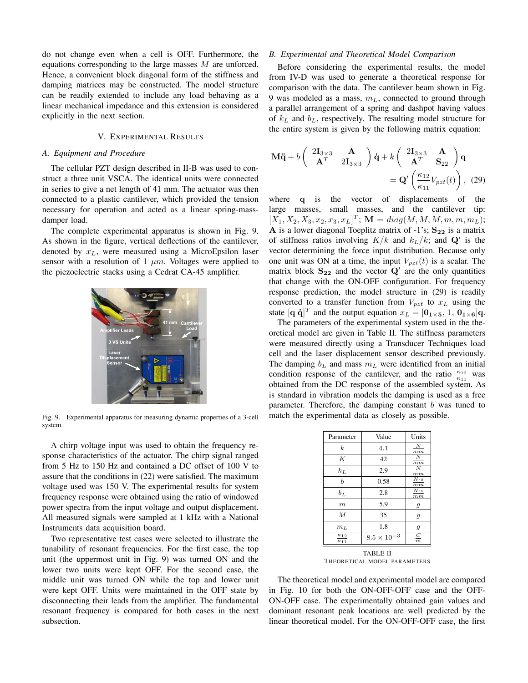do not change even when a cell is OFF. Furthermore, the equations corresponding to the large masses M are unforced. Hence, a convenient block diagonal form of the stiffness and damping matrices may be constructed. The model structure can be readily extended to include any load behaving as a linear mechanical impedance and this extension is considered explicitly in the next section.

# V. EXPERIMENTAL RESULTS

# *A. Equipment and Procedure*

The cellular PZT design described in II-B was used to construct a three unit VSCA. The identical units were connected in series to give a net length of 41 mm. The actuator was then connected to a plastic cantilever, which provided the tension necessary for operation and acted as a linear spring-massdamper load.

The complete experimental apparatus is shown in Fig. 9. As shown in the figure, vertical deflections of the cantilever, denoted by  $x_L$ , were measured using a MicroEpsilon laser sensor with a resolution of 1  $\mu$ m. Voltages were applied to the piezoelectric stacks using a Cedrat CA-45 amplifier.



Fig. 9. Experimental apparatus for measuring dynamic properties of a 3-cell system.

A chirp voltage input was used to obtain the frequency response characteristics of the actuator. The chirp signal ranged from 5 Hz to 150 Hz and contained a DC offset of 100 V to assure that the conditions in (22) were satisfied. The maximum voltage used was 150 V. The experimental results for system frequency response were obtained using the ratio of windowed power spectra from the input voltage and output displacement. All measured signals were sampled at 1 kHz with a National Instruments data acquisition board.

Two representative test cases were selected to illustrate the tunability of resonant frequencies. For the first case, the top unit (the uppermost unit in Fig. 9) was turned ON and the lower two units were kept OFF. For the second case, the middle unit was turned ON while the top and lower unit were kept OFF. Units were maintained in the OFF state by disconnecting their leads from the amplifier. The fundamental resonant frequency is compared for both cases in the next subsection.

### *B. Experimental and Theoretical Model Comparison*

Before considering the experimental results, the model from IV-D was used to generate a theoretical response for comparison with the data. The cantilever beam shown in Fig. 9 was modeled as a mass,  $m<sub>L</sub>$ , connected to ground through a parallel arrangement of a spring and dashpot having values of  $k<sub>L</sub>$  and  $b<sub>L</sub>$ , respectively. The resulting model structure for the entire system is given by the following matrix equation:

$$
\mathbf{M}\ddot{\mathbf{q}} + b \begin{pmatrix} 2\mathbf{I}_{3\times 3} & \mathbf{A} \\ \mathbf{A}^T & 2\mathbf{I}_{3\times 3} \end{pmatrix} \dot{\mathbf{q}} + k \begin{pmatrix} 2\mathbf{I}_{3\times 3} & \mathbf{A} \\ \mathbf{A}^T & \mathbf{S}_{22} \end{pmatrix} \mathbf{q}
$$

$$
= \mathbf{Q}' \begin{pmatrix} \frac{\kappa_{12}}{\kappa_{11}} V_{pzt}(t) \end{pmatrix}, \tag{29}
$$

where **q** is the vector of displacements of the large masses, small masses, and the cantilever tip:  $[X_1, X_2, X_3, x_2, x_3, x_L]^T$ ;  $\mathbf{M} = diag(M, M, M, m, m, m_L)$ ;<br>A is a lower diagonal Toeplitz matrix of -1's: See is a matrix **A** is a lower diagonal Toeplitz matrix of -1's; **S<sup>22</sup>** is a matrix of stiffness ratios involving  $K/k$  and  $k_L/k$ ; and  $\mathbf{Q}'$  is the vector determining the force input distribution. Because only one unit was ON at a time, the input  $V_{pzt}(t)$  is a scalar. The matrix block  $S_{22}$  and the vector  $Q'$  are the only quantities that change with the ON-OFF configuration. For frequency response prediction, the model structure in (29) is readily converted to a transfer function from  $V_{pzt}$  to  $x<sub>L</sub>$  using the state  $[\mathbf{q} \; \dot{\mathbf{q}}]^T$  and the output equation  $x_L = [\mathbf{0}_{1 \times 5}, 1, 0_{1 \times 6}] \mathbf{q}$ .<br>The parameters of the experimental system used in the the-

The parameters of the experimental system used in the theoretical model are given in Table II. The stiffness parameters were measured directly using a Transducer Techniques load cell and the laser displacement sensor described previously. The damping  $b<sub>L</sub>$  and mass  $m<sub>L</sub>$  were identified from an initial condition response of the cantilever, and the ratio  $\frac{\kappa_{12}}{\kappa_{11}}$  was<br>obtained from the DC response of the assembled system. As obtained from the DC response of the assembled system. As is standard in vibration models the damping is used as a free parameter. Therefore, the damping constant  $b$  was tuned to match the experimental data as closely as possible.

| Parameter                      | Value                | Units                  |
|--------------------------------|----------------------|------------------------|
| $\boldsymbol{k}$               | 4.1                  | N<br>$_{mm}$           |
| K                              | 42                   | N<br>$_{mm}$           |
| $k_L$                          | 2.9                  | N<br>$_{mm}$           |
| b                              | 0.58                 | $N \cdot s$<br>$_{mm}$ |
| $b_L$                          | 2.8                  | $N \cdot s$<br>$_{mm}$ |
| $\boldsymbol{m}$               | 5.9                  | 9                      |
| $\boldsymbol{M}$               | 35                   | 9                      |
| m <sub>L</sub>                 | 1.8                  | $\mathfrak{g}$         |
| $\kappa_{12}$<br>$\kappa_{11}$ | $8.5 \times 10^{-3}$ | $\subseteq$<br>$_{m}$  |
|                                |                      |                        |

TABLE II THEORETICAL MODEL PARAMETERS

The theoretical model and experimental model are compared in Fig. 10 for both the ON-OFF-OFF case and the OFF-ON-OFF case. The experimentally obtained gain values and dominant resonant peak locations are well predicted by the linear theoretical model. For the ON-OFF-OFF case, the first